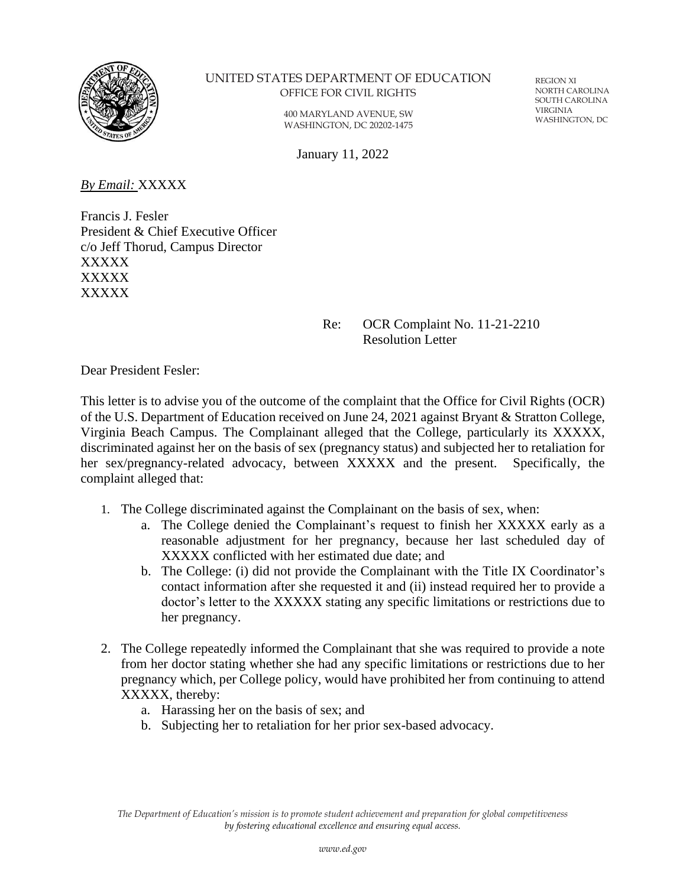

#### UNITED STATES DEPARTMENT OF EDUCATION OFFICE FOR CIVIL RIGHTS

400 MARYLAND AVENUE, SW WASHINGTON, DC 20202-1475

REGION XI NORTH CAROLINA SOUTH CAROLINA VIRGINIA WASHINGTON, DC

January 11, 2022

*By Email:* XXXXX

Francis J. Fesler President & Chief Executive Officer c/o Jeff Thorud, Campus Director XXXXX XXXXX XXXXX

### Re: OCR Complaint No. 11-21-2210 Resolution Letter

Dear President Fesler:

This letter is to advise you of the outcome of the complaint that the Office for Civil Rights (OCR) of the U.S. Department of Education received on June 24, 2021 against Bryant & Stratton College, Virginia Beach Campus. The Complainant alleged that the College, particularly its XXXXX, discriminated against her on the basis of sex (pregnancy status) and subjected her to retaliation for her sex/pregnancy-related advocacy, between XXXXX and the present. Specifically, the complaint alleged that:

- 1. The College discriminated against the Complainant on the basis of sex, when:
	- a. The College denied the Complainant's request to finish her XXXXX early as a reasonable adjustment for her pregnancy, because her last scheduled day of XXXXX conflicted with her estimated due date; and
	- b. The College: (i) did not provide the Complainant with the Title IX Coordinator's contact information after she requested it and (ii) instead required her to provide a doctor's letter to the XXXXX stating any specific limitations or restrictions due to her pregnancy.
- 2. The College repeatedly informed the Complainant that she was required to provide a note from her doctor stating whether she had any specific limitations or restrictions due to her pregnancy which, per College policy, would have prohibited her from continuing to attend XXXXX, thereby:
	- a. Harassing her on the basis of sex; and
	- b. Subjecting her to retaliation for her prior sex-based advocacy.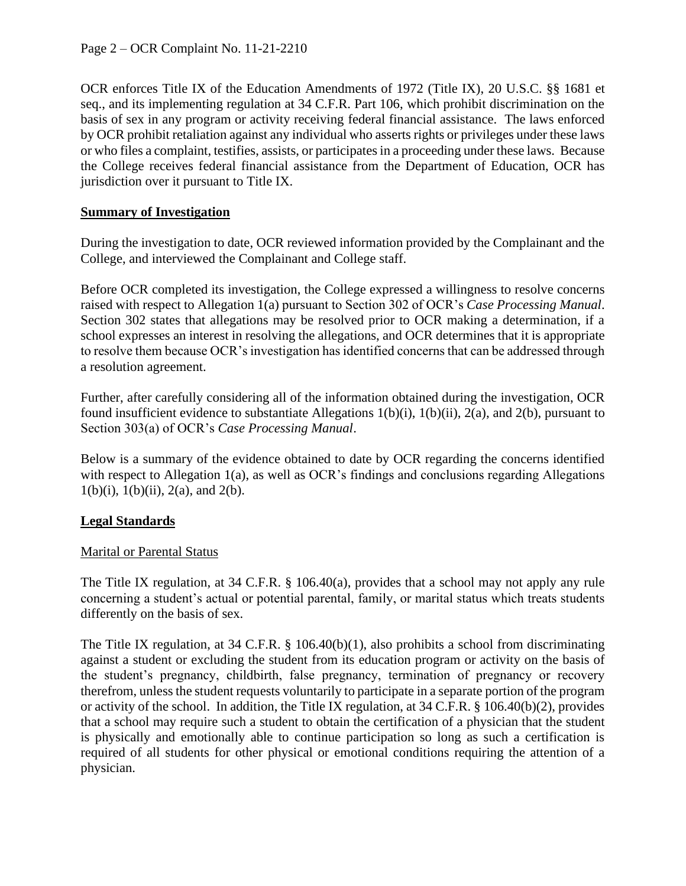OCR enforces Title IX of the Education Amendments of 1972 (Title IX), 20 U.S.C. §§ 1681 et seq., and its implementing regulation at 34 C.F.R. Part 106, which prohibit discrimination on the basis of sex in any program or activity receiving federal financial assistance. The laws enforced by OCR prohibit retaliation against any individual who asserts rights or privileges under these laws or who files a complaint, testifies, assists, or participates in a proceeding under these laws. Because the College receives federal financial assistance from the Department of Education, OCR has jurisdiction over it pursuant to Title IX.

### **Summary of Investigation**

During the investigation to date, OCR reviewed information provided by the Complainant and the College, and interviewed the Complainant and College staff.

Before OCR completed its investigation, the College expressed a willingness to resolve concerns raised with respect to Allegation 1(a) pursuant to Section 302 of OCR's *Case Processing Manual*. Section 302 states that allegations may be resolved prior to OCR making a determination, if a school expresses an interest in resolving the allegations, and OCR determines that it is appropriate to resolve them because OCR's investigation has identified concerns that can be addressed through a resolution agreement.

Further, after carefully considering all of the information obtained during the investigation, OCR found insufficient evidence to substantiate Allegations 1(b)(i), 1(b)(ii), 2(a), and 2(b), pursuant to Section 303(a) of OCR's *Case Processing Manual*.

Below is a summary of the evidence obtained to date by OCR regarding the concerns identified with respect to Allegation 1(a), as well as OCR's findings and conclusions regarding Allegations  $1(b)(i)$ ,  $1(b)(ii)$ ,  $2(a)$ , and  $2(b)$ .

# **Legal Standards**

### Marital or Parental Status

The Title IX regulation, at 34 C.F.R. § 106.40(a), provides that a school may not apply any rule concerning a student's actual or potential parental, family, or marital status which treats students differently on the basis of sex.

The Title IX regulation, at 34 C.F.R. § 106.40(b)(1), also prohibits a school from discriminating against a student or excluding the student from its education program or activity on the basis of the student's pregnancy, childbirth, false pregnancy, termination of pregnancy or recovery therefrom, unless the student requests voluntarily to participate in a separate portion of the program or activity of the school. In addition, the Title IX regulation, at 34 C.F.R. § 106.40(b)(2), provides that a school may require such a student to obtain the certification of a physician that the student is physically and emotionally able to continue participation so long as such a certification is required of all students for other physical or emotional conditions requiring the attention of a physician.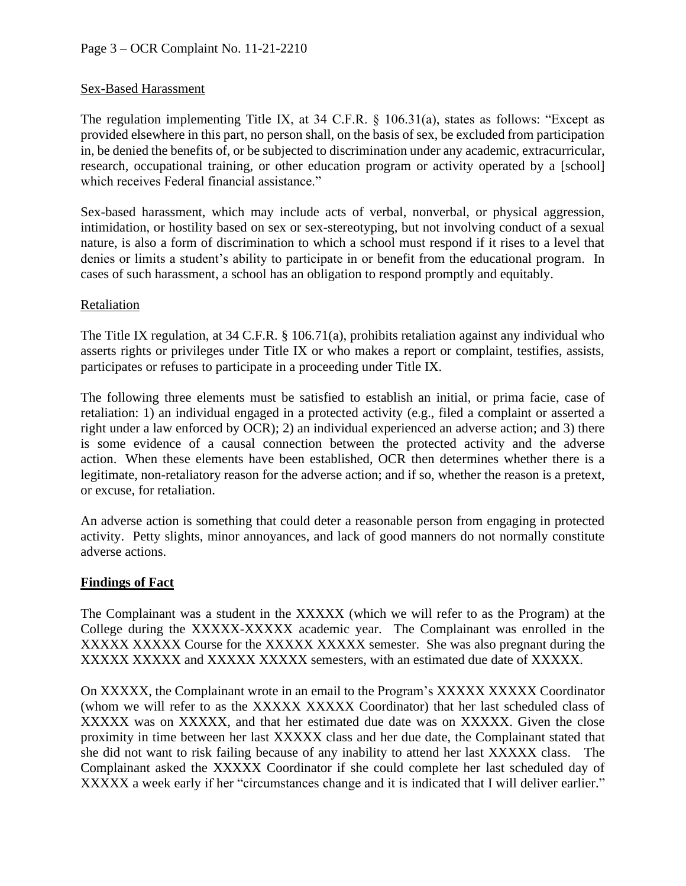### Sex-Based Harassment

The regulation implementing Title IX, at  $34 \text{ C.F.R.} \$   $8 \cdot 106.31(a)$ , states as follows: "Except as provided elsewhere in this part, no person shall, on the basis of sex, be excluded from participation in, be denied the benefits of, or be subjected to discrimination under any academic, extracurricular, research, occupational training, or other education program or activity operated by a [school] which receives Federal financial assistance."

Sex-based harassment, which may include acts of verbal, nonverbal, or physical aggression, intimidation, or hostility based on sex or sex-stereotyping, but not involving conduct of a sexual nature, is also a form of discrimination to which a school must respond if it rises to a level that denies or limits a student's ability to participate in or benefit from the educational program. In cases of such harassment, a school has an obligation to respond promptly and equitably.

#### Retaliation

The Title IX regulation, at 34 C.F.R. § 106.71(a), prohibits retaliation against any individual who asserts rights or privileges under Title IX or who makes a report or complaint, testifies, assists, participates or refuses to participate in a proceeding under Title IX.

The following three elements must be satisfied to establish an initial, or prima facie, case of retaliation: 1) an individual engaged in a protected activity (e.g., filed a complaint or asserted a right under a law enforced by OCR); 2) an individual experienced an adverse action; and 3) there is some evidence of a causal connection between the protected activity and the adverse action. When these elements have been established, OCR then determines whether there is a legitimate, non-retaliatory reason for the adverse action; and if so, whether the reason is a pretext, or excuse, for retaliation.

An adverse action is something that could deter a reasonable person from engaging in protected activity. Petty slights, minor annoyances, and lack of good manners do not normally constitute adverse actions.

#### **Findings of Fact**

The Complainant was a student in the XXXXX (which we will refer to as the Program) at the College during the XXXXX-XXXXX academic year. The Complainant was enrolled in the XXXXX XXXXX Course for the XXXXX XXXXX semester. She was also pregnant during the XXXXX XXXXX and XXXXX XXXXX semesters, with an estimated due date of XXXXX.

On XXXXX, the Complainant wrote in an email to the Program's XXXXX XXXXX Coordinator (whom we will refer to as the XXXXX XXXXX Coordinator) that her last scheduled class of XXXXX was on XXXXX, and that her estimated due date was on XXXXX. Given the close proximity in time between her last XXXXX class and her due date, the Complainant stated that she did not want to risk failing because of any inability to attend her last XXXXX class. The Complainant asked the XXXXX Coordinator if she could complete her last scheduled day of XXXXX a week early if her "circumstances change and it is indicated that I will deliver earlier."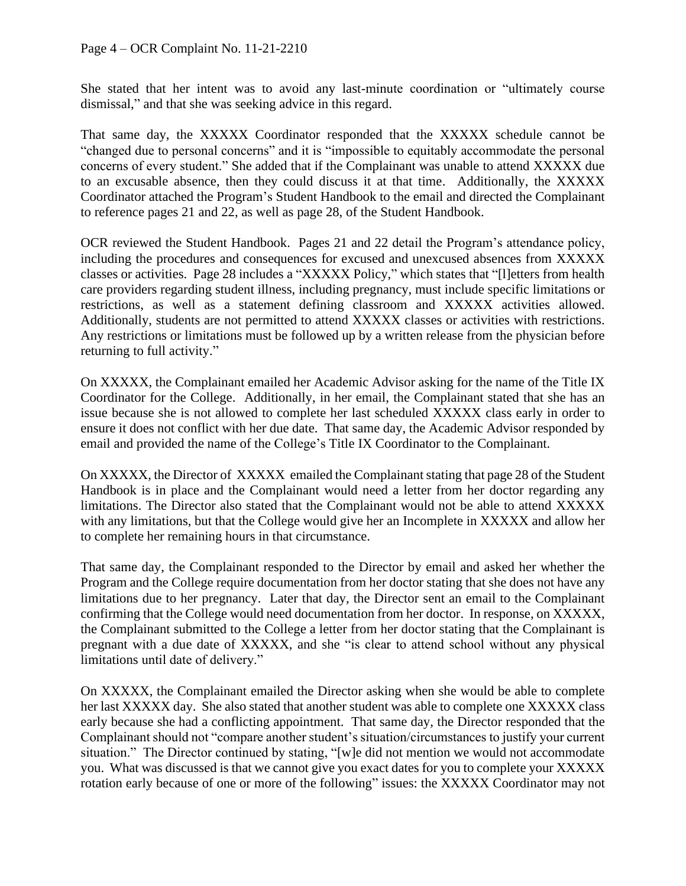She stated that her intent was to avoid any last-minute coordination or "ultimately course dismissal," and that she was seeking advice in this regard.

That same day, the XXXXX Coordinator responded that the XXXXX schedule cannot be "changed due to personal concerns" and it is "impossible to equitably accommodate the personal concerns of every student." She added that if the Complainant was unable to attend XXXXX due to an excusable absence, then they could discuss it at that time. Additionally, the XXXXX Coordinator attached the Program's Student Handbook to the email and directed the Complainant to reference pages 21 and 22, as well as page 28, of the Student Handbook.

OCR reviewed the Student Handbook. Pages 21 and 22 detail the Program's attendance policy, including the procedures and consequences for excused and unexcused absences from XXXXX classes or activities. Page 28 includes a "XXXXX Policy," which states that "[l]etters from health care providers regarding student illness, including pregnancy, must include specific limitations or restrictions, as well as a statement defining classroom and XXXXX activities allowed. Additionally, students are not permitted to attend XXXXX classes or activities with restrictions. Any restrictions or limitations must be followed up by a written release from the physician before returning to full activity."

On XXXXX, the Complainant emailed her Academic Advisor asking for the name of the Title IX Coordinator for the College. Additionally, in her email, the Complainant stated that she has an issue because she is not allowed to complete her last scheduled XXXXX class early in order to ensure it does not conflict with her due date. That same day, the Academic Advisor responded by email and provided the name of the College's Title IX Coordinator to the Complainant.

On XXXXX, the Director of XXXXX emailed the Complainant stating that page 28 of the Student Handbook is in place and the Complainant would need a letter from her doctor regarding any limitations. The Director also stated that the Complainant would not be able to attend XXXXX with any limitations, but that the College would give her an Incomplete in XXXXX and allow her to complete her remaining hours in that circumstance.

That same day, the Complainant responded to the Director by email and asked her whether the Program and the College require documentation from her doctor stating that she does not have any limitations due to her pregnancy. Later that day, the Director sent an email to the Complainant confirming that the College would need documentation from her doctor. In response, on XXXXX, the Complainant submitted to the College a letter from her doctor stating that the Complainant is pregnant with a due date of XXXXX, and she "is clear to attend school without any physical limitations until date of delivery."

On XXXXX, the Complainant emailed the Director asking when she would be able to complete her last XXXXX day. She also stated that another student was able to complete one XXXXX class early because she had a conflicting appointment. That same day, the Director responded that the Complainant should not "compare another student's situation/circumstances to justify your current situation." The Director continued by stating, "[w]e did not mention we would not accommodate you. What was discussed is that we cannot give you exact dates for you to complete your XXXXX rotation early because of one or more of the following" issues: the XXXXX Coordinator may not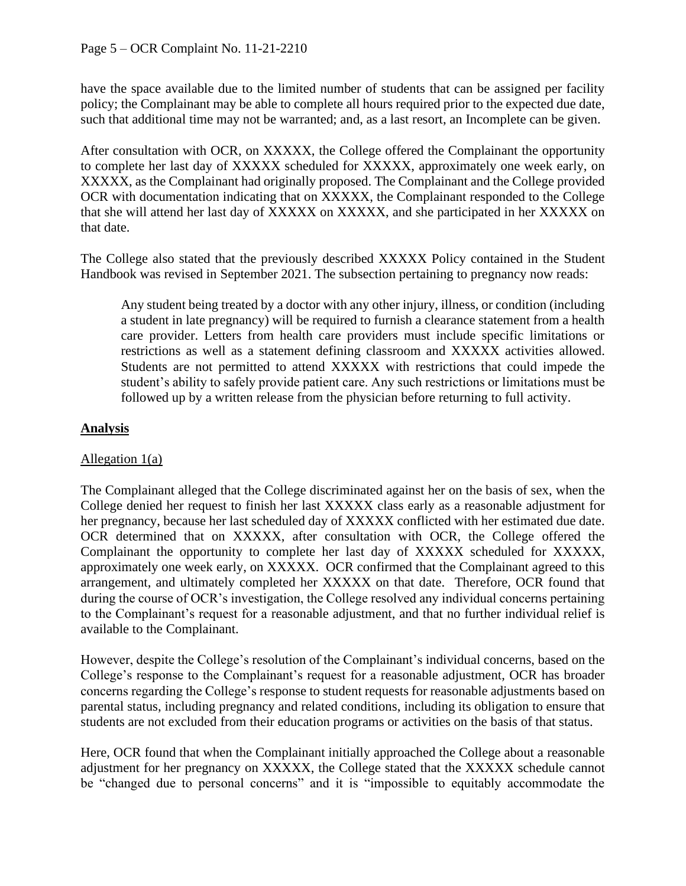have the space available due to the limited number of students that can be assigned per facility policy; the Complainant may be able to complete all hours required prior to the expected due date, such that additional time may not be warranted; and, as a last resort, an Incomplete can be given.

After consultation with OCR, on XXXXX, the College offered the Complainant the opportunity to complete her last day of XXXXX scheduled for XXXXX, approximately one week early, on XXXXX, as the Complainant had originally proposed. The Complainant and the College provided OCR with documentation indicating that on XXXXX, the Complainant responded to the College that she will attend her last day of XXXXX on XXXXX, and she participated in her XXXXX on that date.

The College also stated that the previously described XXXXX Policy contained in the Student Handbook was revised in September 2021. The subsection pertaining to pregnancy now reads:

Any student being treated by a doctor with any other injury, illness, or condition (including a student in late pregnancy) will be required to furnish a clearance statement from a health care provider. Letters from health care providers must include specific limitations or restrictions as well as a statement defining classroom and XXXXX activities allowed. Students are not permitted to attend XXXXX with restrictions that could impede the student's ability to safely provide patient care. Any such restrictions or limitations must be followed up by a written release from the physician before returning to full activity.

## **Analysis**

### Allegation 1(a)

The Complainant alleged that the College discriminated against her on the basis of sex, when the College denied her request to finish her last XXXXX class early as a reasonable adjustment for her pregnancy, because her last scheduled day of XXXXX conflicted with her estimated due date. OCR determined that on XXXXX, after consultation with OCR, the College offered the Complainant the opportunity to complete her last day of XXXXX scheduled for XXXXX, approximately one week early, on XXXXX. OCR confirmed that the Complainant agreed to this arrangement, and ultimately completed her XXXXX on that date. Therefore, OCR found that during the course of OCR's investigation, the College resolved any individual concerns pertaining to the Complainant's request for a reasonable adjustment, and that no further individual relief is available to the Complainant.

However, despite the College's resolution of the Complainant's individual concerns, based on the College's response to the Complainant's request for a reasonable adjustment, OCR has broader concerns regarding the College's response to student requests for reasonable adjustments based on parental status, including pregnancy and related conditions, including its obligation to ensure that students are not excluded from their education programs or activities on the basis of that status.

Here, OCR found that when the Complainant initially approached the College about a reasonable adjustment for her pregnancy on XXXXX, the College stated that the XXXXX schedule cannot be "changed due to personal concerns" and it is "impossible to equitably accommodate the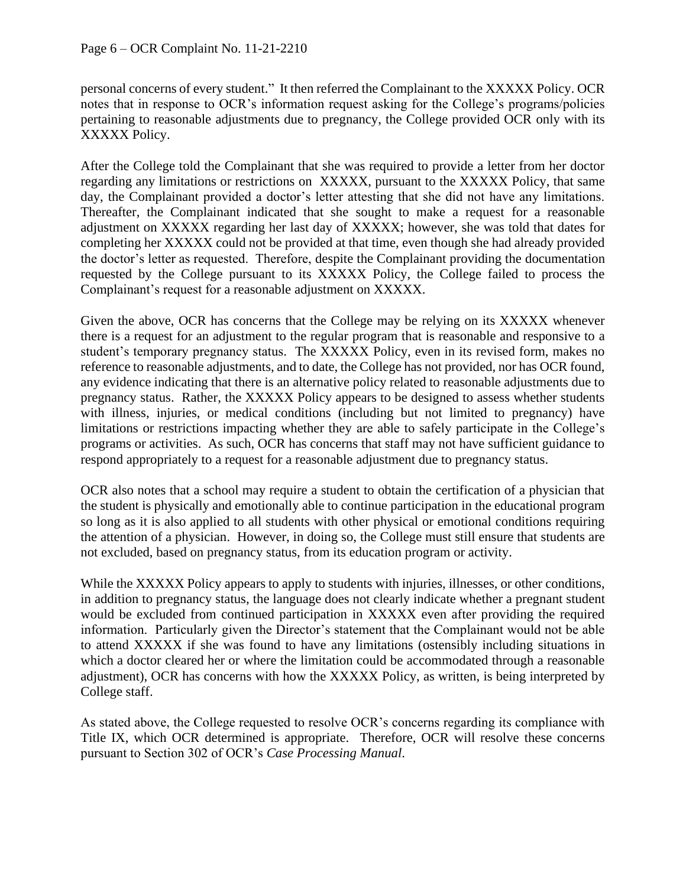personal concerns of every student." It then referred the Complainant to the XXXXX Policy. OCR notes that in response to OCR's information request asking for the College's programs/policies pertaining to reasonable adjustments due to pregnancy, the College provided OCR only with its XXXXX Policy.

After the College told the Complainant that she was required to provide a letter from her doctor regarding any limitations or restrictions on XXXXX, pursuant to the XXXXX Policy, that same day, the Complainant provided a doctor's letter attesting that she did not have any limitations. Thereafter, the Complainant indicated that she sought to make a request for a reasonable adjustment on XXXXX regarding her last day of XXXXX; however, she was told that dates for completing her XXXXX could not be provided at that time, even though she had already provided the doctor's letter as requested. Therefore, despite the Complainant providing the documentation requested by the College pursuant to its XXXXX Policy, the College failed to process the Complainant's request for a reasonable adjustment on XXXXX.

Given the above, OCR has concerns that the College may be relying on its XXXXX whenever there is a request for an adjustment to the regular program that is reasonable and responsive to a student's temporary pregnancy status. The XXXXX Policy, even in its revised form, makes no reference to reasonable adjustments, and to date, the College has not provided, nor has OCR found, any evidence indicating that there is an alternative policy related to reasonable adjustments due to pregnancy status. Rather, the XXXXX Policy appears to be designed to assess whether students with illness, injuries, or medical conditions (including but not limited to pregnancy) have limitations or restrictions impacting whether they are able to safely participate in the College's programs or activities. As such, OCR has concerns that staff may not have sufficient guidance to respond appropriately to a request for a reasonable adjustment due to pregnancy status.

OCR also notes that a school may require a student to obtain the certification of a physician that the student is physically and emotionally able to continue participation in the educational program so long as it is also applied to all students with other physical or emotional conditions requiring the attention of a physician. However, in doing so, the College must still ensure that students are not excluded, based on pregnancy status, from its education program or activity.

While the XXXXX Policy appears to apply to students with injuries, illnesses, or other conditions, in addition to pregnancy status, the language does not clearly indicate whether a pregnant student would be excluded from continued participation in XXXXX even after providing the required information. Particularly given the Director's statement that the Complainant would not be able to attend XXXXX if she was found to have any limitations (ostensibly including situations in which a doctor cleared her or where the limitation could be accommodated through a reasonable adjustment), OCR has concerns with how the XXXXX Policy, as written, is being interpreted by College staff.

As stated above, the College requested to resolve OCR's concerns regarding its compliance with Title IX, which OCR determined is appropriate. Therefore, OCR will resolve these concerns pursuant to Section 302 of OCR's *Case Processing Manual*.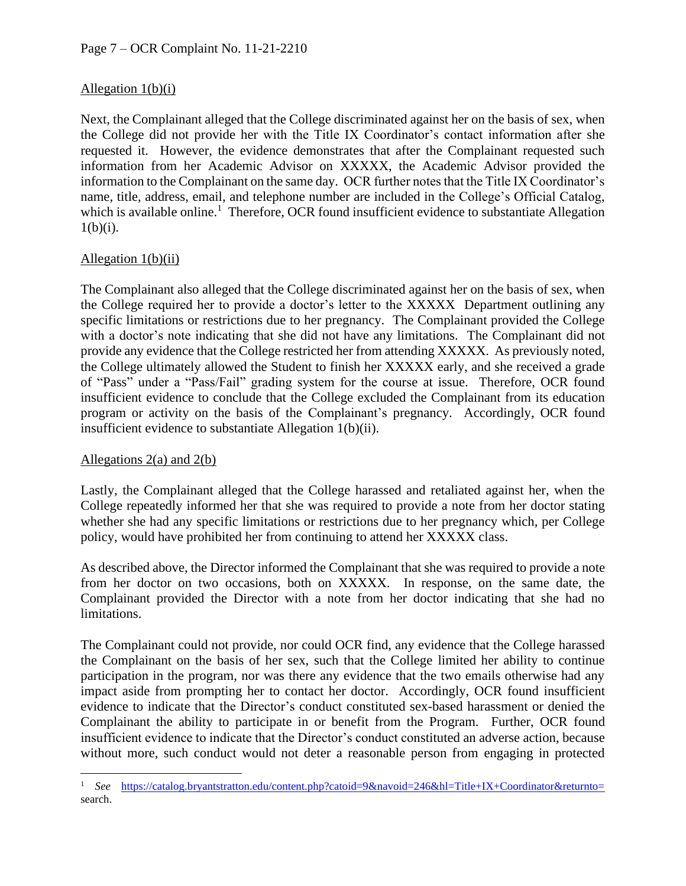# Allegation 1(b)(i)

Next, the Complainant alleged that the College discriminated against her on the basis of sex, when the College did not provide her with the Title IX Coordinator's contact information after she requested it. However, the evidence demonstrates that after the Complainant requested such information from her Academic Advisor on XXXXX, the Academic Advisor provided the information to the Complainant on the same day. OCR further notes that the Title IX Coordinator's name, title, address, email, and telephone number are included in the College's Official Catalog, which is available online.<sup>1</sup> Therefore, OCR found insufficient evidence to substantiate Allegation  $1(b)(i)$ .

### Allegation 1(b)(ii)

The Complainant also alleged that the College discriminated against her on the basis of sex, when the College required her to provide a doctor's letter to the XXXXX Department outlining any specific limitations or restrictions due to her pregnancy. The Complainant provided the College with a doctor's note indicating that she did not have any limitations. The Complainant did not provide any evidence that the College restricted her from attending XXXXX. As previously noted, the College ultimately allowed the Student to finish her XXXXX early, and she received a grade of "Pass" under a "Pass/Fail" grading system for the course at issue. Therefore, OCR found insufficient evidence to conclude that the College excluded the Complainant from its education program or activity on the basis of the Complainant's pregnancy. Accordingly, OCR found insufficient evidence to substantiate Allegation 1(b)(ii).

### Allegations  $2(a)$  and  $2(b)$

Lastly, the Complainant alleged that the College harassed and retaliated against her, when the College repeatedly informed her that she was required to provide a note from her doctor stating whether she had any specific limitations or restrictions due to her pregnancy which, per College policy, would have prohibited her from continuing to attend her XXXXX class.

As described above, the Director informed the Complainant that she was required to provide a note from her doctor on two occasions, both on XXXXX. In response, on the same date, the Complainant provided the Director with a note from her doctor indicating that she had no limitations.

The Complainant could not provide, nor could OCR find, any evidence that the College harassed the Complainant on the basis of her sex, such that the College limited her ability to continue participation in the program, nor was there any evidence that the two emails otherwise had any impact aside from prompting her to contact her doctor. Accordingly, OCR found insufficient evidence to indicate that the Director's conduct constituted sex-based harassment or denied the Complainant the ability to participate in or benefit from the Program. Further, OCR found insufficient evidence to indicate that the Director's conduct constituted an adverse action, because without more, such conduct would not deter a reasonable person from engaging in protected

<sup>&</sup>lt;sup>1</sup> *See* <https://catalog.bryantstratton.edu/content.php?catoid=9&navoid=246&hl=Title+IX+Coordinator&returnto=> search.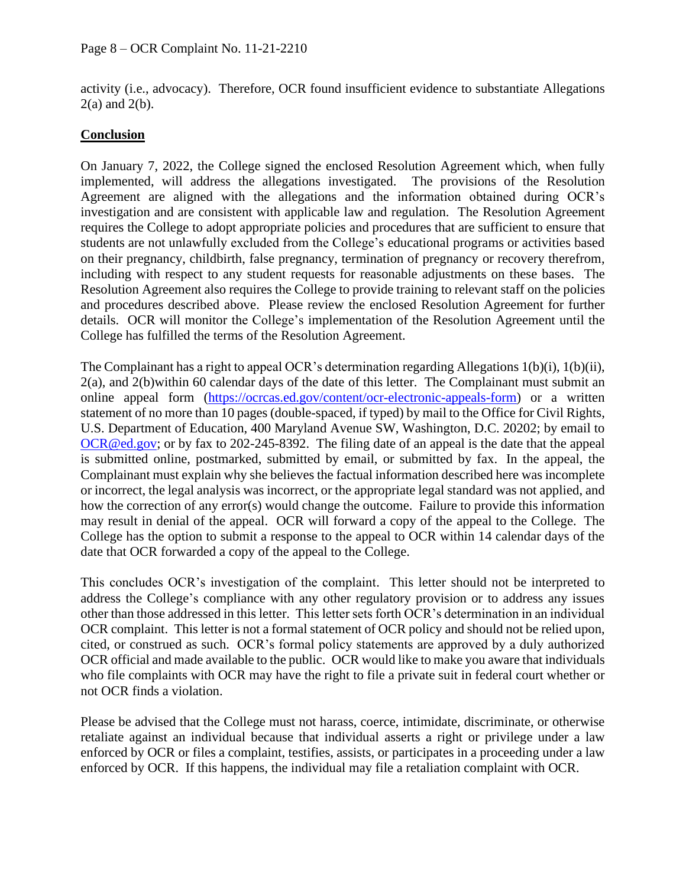activity (i.e., advocacy). Therefore, OCR found insufficient evidence to substantiate Allegations  $2(a)$  and  $2(b)$ .

## **Conclusion**

On January 7, 2022, the College signed the enclosed Resolution Agreement which, when fully implemented, will address the allegations investigated. The provisions of the Resolution Agreement are aligned with the allegations and the information obtained during OCR's investigation and are consistent with applicable law and regulation. The Resolution Agreement requires the College to adopt appropriate policies and procedures that are sufficient to ensure that students are not unlawfully excluded from the College's educational programs or activities based on their pregnancy, childbirth, false pregnancy, termination of pregnancy or recovery therefrom, including with respect to any student requests for reasonable adjustments on these bases. The Resolution Agreement also requires the College to provide training to relevant staff on the policies and procedures described above. Please review the enclosed Resolution Agreement for further details. OCR will monitor the College's implementation of the Resolution Agreement until the College has fulfilled the terms of the Resolution Agreement.

The Complainant has a right to appeal OCR's determination regarding Allegations 1(b)(i), 1(b)(ii), 2(a), and 2(b)within 60 calendar days of the date of this letter. The Complainant must submit an online appeal form [\(https://ocrcas.ed.gov/content/ocr-electronic-appeals-form\)](https://ocrcas.ed.gov/content/ocr-electronic-appeals-form) or a written statement of no more than 10 pages (double-spaced, if typed) by mail to the Office for Civil Rights, U.S. Department of Education, 400 Maryland Avenue SW, Washington, D.C. 20202; by email to [OCR@ed.gov;](mailto:OCR@ed.gov) or by fax to 202-245-8392. The filing date of an appeal is the date that the appeal is submitted online, postmarked, submitted by email, or submitted by fax. In the appeal, the Complainant must explain why she believes the factual information described here was incomplete or incorrect, the legal analysis was incorrect, or the appropriate legal standard was not applied, and how the correction of any error(s) would change the outcome. Failure to provide this information may result in denial of the appeal. OCR will forward a copy of the appeal to the College. The College has the option to submit a response to the appeal to OCR within 14 calendar days of the date that OCR forwarded a copy of the appeal to the College.

This concludes OCR's investigation of the complaint. This letter should not be interpreted to address the College's compliance with any other regulatory provision or to address any issues other than those addressed in this letter. This letter sets forth OCR's determination in an individual OCR complaint. This letter is not a formal statement of OCR policy and should not be relied upon, cited, or construed as such. OCR's formal policy statements are approved by a duly authorized OCR official and made available to the public. OCR would like to make you aware that individuals who file complaints with OCR may have the right to file a private suit in federal court whether or not OCR finds a violation.

Please be advised that the College must not harass, coerce, intimidate, discriminate, or otherwise retaliate against an individual because that individual asserts a right or privilege under a law enforced by OCR or files a complaint, testifies, assists, or participates in a proceeding under a law enforced by OCR. If this happens, the individual may file a retaliation complaint with OCR.